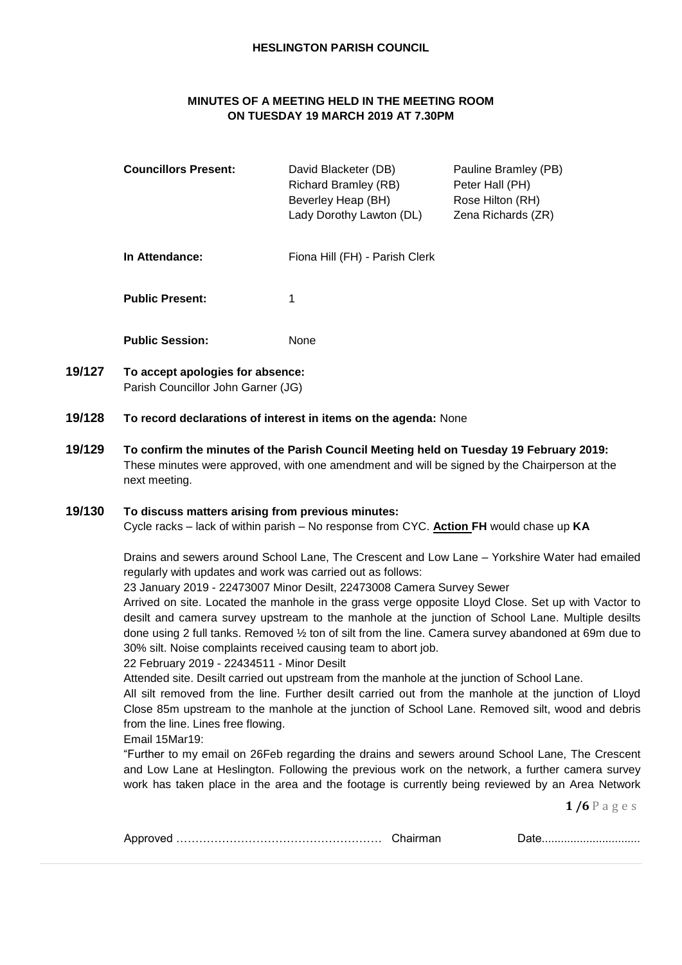#### **HESLINGTON PARISH COUNCIL**

# **MINUTES OF A MEETING HELD IN THE MEETING ROOM ON TUESDAY 19 MARCH 2019 AT 7.30PM**

| <b>Councillors Present:</b> | David Blacketer (DB)<br><b>Richard Bramley (RB)</b><br>Beverley Heap (BH)<br>Lady Dorothy Lawton (DL) | Pauline Bramley (PB)<br>Peter Hall (PH)<br>Rose Hilton (RH)<br>Zena Richards (ZR) |
|-----------------------------|-------------------------------------------------------------------------------------------------------|-----------------------------------------------------------------------------------|
| In Attendance:              | Fiona Hill (FH) - Parish Clerk                                                                        |                                                                                   |
| <b>Public Present:</b>      |                                                                                                       |                                                                                   |

**Public Session:** None

- **19/127 To accept apologies for absence:** Parish Councillor John Garner (JG)
- **19/128 To record declarations of interest in items on the agenda:** None
- **19/129 To confirm the minutes of the Parish Council Meeting held on Tuesday 19 February 2019:** These minutes were approved, with one amendment and will be signed by the Chairperson at the next meeting.

#### **19/130 To discuss matters arising from previous minutes:**

Cycle racks – lack of within parish – No response from CYC. **Action FH** would chase up **KA**

Drains and sewers around School Lane, The Crescent and Low Lane – Yorkshire Water had emailed regularly with updates and work was carried out as follows:

23 January 2019 - 22473007 Minor Desilt, 22473008 Camera Survey Sewer

Arrived on site. Located the manhole in the grass verge opposite Lloyd Close. Set up with Vactor to desilt and camera survey upstream to the manhole at the junction of School Lane. Multiple desilts done using 2 full tanks. Removed ½ ton of silt from the line. Camera survey abandoned at 69m due to 30% silt. Noise complaints received causing team to abort job.

#### 22 February 2019 - 22434511 - Minor Desilt

Attended site. Desilt carried out upstream from the manhole at the junction of School Lane.

All silt removed from the line. Further desilt carried out from the manhole at the junction of Lloyd Close 85m upstream to the manhole at the junction of School Lane. Removed silt, wood and debris from the line. Lines free flowing.

Email 15Mar19:

"Further to my email on 26Feb regarding the drains and sewers around School Lane, The Crescent and Low Lane at Heslington. Following the previous work on the network, a further camera survey work has taken place in the area and the footage is currently being reviewed by an Area Network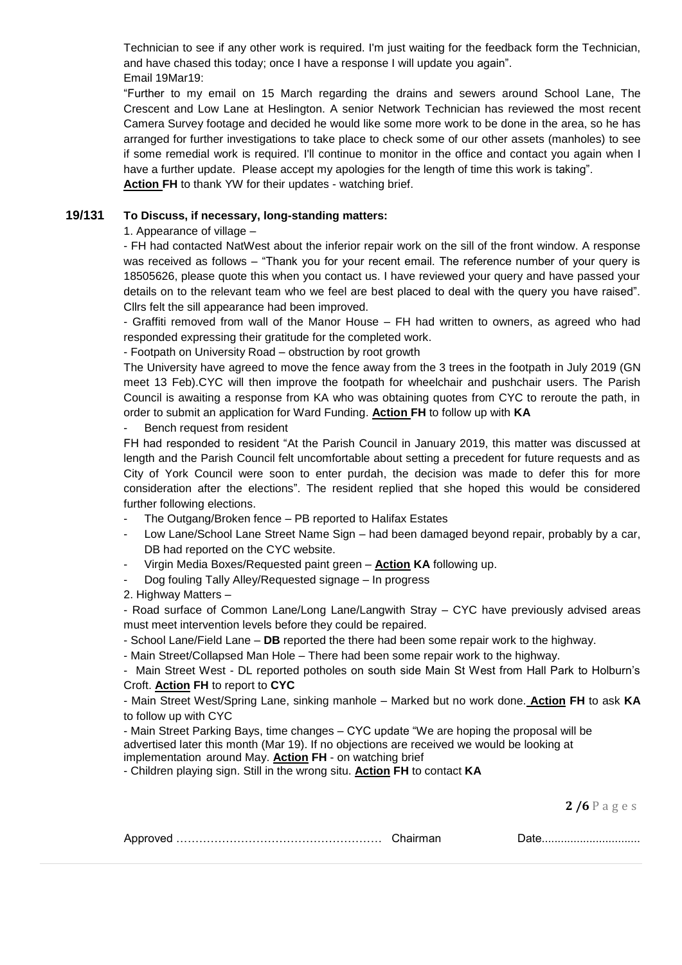Technician to see if any other work is required. I'm just waiting for the feedback form the Technician, and have chased this today; once I have a response I will update you again". Email 19Mar19:

"Further to my email on 15 March regarding the drains and sewers around School Lane, The Crescent and Low Lane at Heslington. A senior Network Technician has reviewed the most recent Camera Survey footage and decided he would like some more work to be done in the area, so he has arranged for further investigations to take place to check some of our other assets (manholes) to see if some remedial work is required. I'll continue to monitor in the office and contact you again when I have a further update. Please accept my apologies for the length of time this work is taking". **Action FH** to thank YW for their updates - watching brief.

### **19/131 To Discuss, if necessary, long-standing matters:**

1. Appearance of village –

- FH had contacted NatWest about the inferior repair work on the sill of the front window. A response was received as follows – "Thank you for your recent email. The reference number of your query is 18505626, please quote this when you contact us. I have reviewed your query and have passed your details on to the relevant team who we feel are best placed to deal with the query you have raised". Cllrs felt the sill appearance had been improved.

- Graffiti removed from wall of the Manor House – FH had written to owners, as agreed who had responded expressing their gratitude for the completed work.

- Footpath on University Road – obstruction by root growth

The University have agreed to move the fence away from the 3 trees in the footpath in July 2019 (GN meet 13 Feb).CYC will then improve the footpath for wheelchair and pushchair users. The Parish Council is awaiting a response from KA who was obtaining quotes from CYC to reroute the path, in order to submit an application for Ward Funding. **Action FH** to follow up with **KA**

Bench request from resident

FH had responded to resident "At the Parish Council in January 2019, this matter was discussed at length and the Parish Council felt uncomfortable about setting a precedent for future requests and as City of York Council were soon to enter purdah, the decision was made to defer this for more consideration after the elections". The resident replied that she hoped this would be considered further following elections.

- The Outgang/Broken fence PB reported to Halifax Estates
- Low Lane/School Lane Street Name Sign had been damaged beyond repair, probably by a car, DB had reported on the CYC website.
- Virgin Media Boxes/Requested paint green **Action KA** following up.
- Dog fouling Tally Alley/Requested signage In progress
- 2. Highway Matters –

- Road surface of Common Lane/Long Lane/Langwith Stray – CYC have previously advised areas must meet intervention levels before they could be repaired.

- School Lane/Field Lane – **DB** reported the there had been some repair work to the highway.

- Main Street/Collapsed Man Hole – There had been some repair work to the highway.

- Main Street West - DL reported potholes on south side Main St West from Hall Park to Holburn's Croft. **Action FH** to report to **CYC**

- Main Street West/Spring Lane, sinking manhole – Marked but no work done. **Action FH** to ask **KA** to follow up with CYC

- Main Street Parking Bays, time changes – CYC update "We are hoping the proposal will be advertised later this month (Mar 19). If no objections are received we would be looking at implementation around May. **Action FH** - on watching brief

- Children playing sign. Still in the wrong situ. **Action FH** to contact **KA**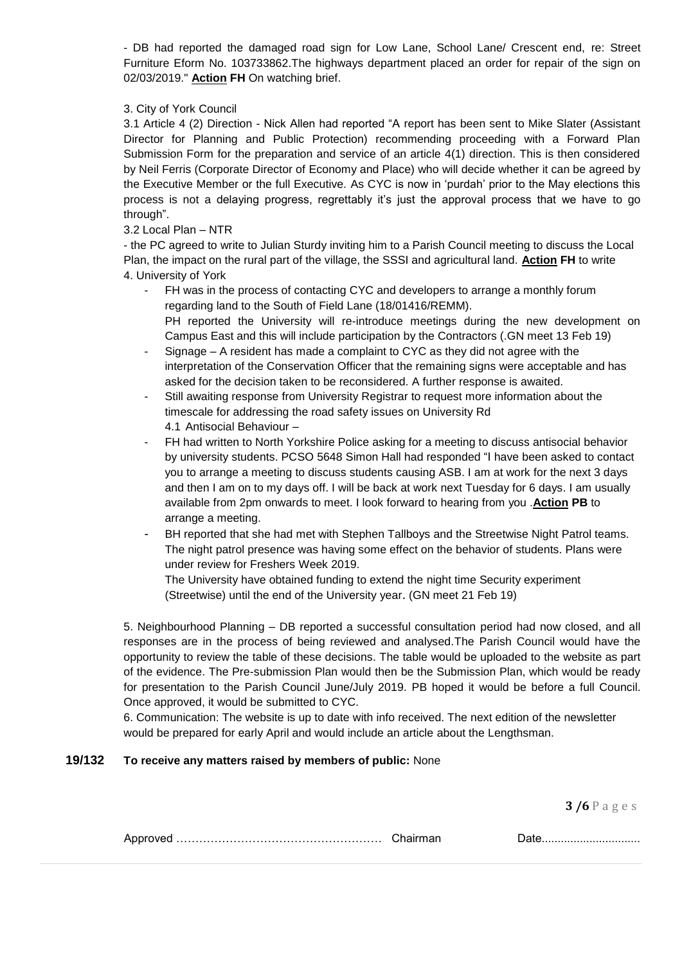- DB had reported the damaged road sign for Low Lane, School Lane/ Crescent end, re: Street Furniture Eform No. 103733862.The highways department placed an order for repair of the sign on 02/03/2019." **Action FH** On watching brief.

#### 3. City of York Council

3.1 Article 4 (2) Direction - Nick Allen had reported "A report has been sent to Mike Slater (Assistant Director for Planning and Public Protection) recommending proceeding with a Forward Plan Submission Form for the preparation and service of an article 4(1) direction. This is then considered by Neil Ferris (Corporate Director of Economy and Place) who will decide whether it can be agreed by the Executive Member or the full Executive. As CYC is now in 'purdah' prior to the May elections this process is not a delaying progress, regrettably it's just the approval process that we have to go through".

### 3.2 Local Plan – NTR

- the PC agreed to write to Julian Sturdy inviting him to a Parish Council meeting to discuss the Local Plan, the impact on the rural part of the village, the SSSI and agricultural land. **Action FH** to write 4. University of York

- FH was in the process of contacting CYC and developers to arrange a monthly forum regarding land to the South of Field Lane (18/01416/REMM). PH reported the University will re-introduce meetings during the new development on Campus East and this will include participation by the Contractors (.GN meet 13 Feb 19)
- Signage A resident has made a complaint to CYC as they did not agree with the interpretation of the Conservation Officer that the remaining signs were acceptable and has asked for the decision taken to be reconsidered. A further response is awaited.
- Still awaiting response from University Registrar to request more information about the timescale for addressing the road safety issues on University Rd 4.1 Antisocial Behaviour –
- FH had written to North Yorkshire Police asking for a meeting to discuss antisocial behavior by university students. PCSO 5648 Simon Hall had responded "I have been asked to contact you to arrange a meeting to discuss students causing ASB. I am at work for the next 3 days and then I am on to my days off. I will be back at work next Tuesday for 6 days. I am usually available from 2pm onwards to meet. I look forward to hearing from you .**Action PB** to arrange a meeting.
- BH reported that she had met with Stephen Tallboys and the Streetwise Night Patrol teams. The night patrol presence was having some effect on the behavior of students. Plans were under review for Freshers Week 2019.

The University have obtained funding to extend the night time Security experiment (Streetwise) until the end of the University year. (GN meet 21 Feb 19)

5. Neighbourhood Planning – DB reported a successful consultation period had now closed, and all responses are in the process of being reviewed and analysed.The Parish Council would have the opportunity to review the table of these decisions. The table would be uploaded to the website as part of the evidence. The Pre-submission Plan would then be the Submission Plan, which would be ready for presentation to the Parish Council June/July 2019. PB hoped it would be before a full Council. Once approved, it would be submitted to CYC.

6. Communication: The website is up to date with info received. The next edition of the newsletter would be prepared for early April and would include an article about the Lengthsman.

### **19/132 To receive any matters raised by members of public:** None

|--|--|--|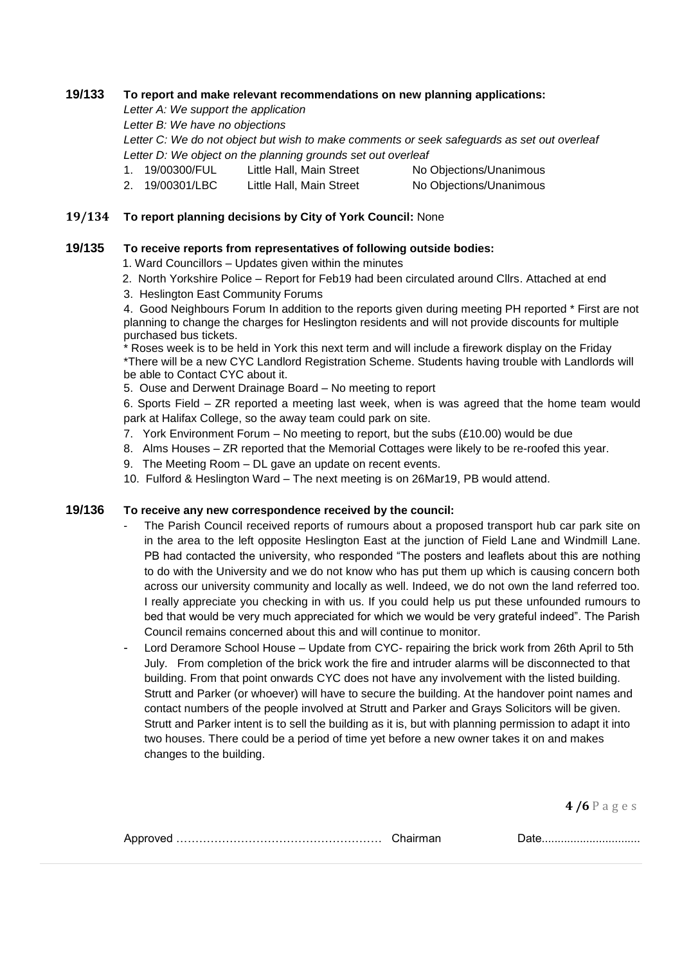### **19/133 To report and make relevant recommendations on new planning applications:**

*Letter A: We support the application*

*Letter B: We have no objections*

*Letter C: We do not object but wish to make comments or seek safeguards as set out overleaf Letter D: We object on the planning grounds set out overleaf*

- 1. 19/00300/FUL Little Hall, Main Street No Objections/Unanimous
	-
- 2. 19/00301/LBC Little Hall, Main Street No Objections/Unanimous

#### **19/134 To report planning decisions by City of York Council:** None

### **19/135 To receive reports from representatives of following outside bodies:**

- 1. Ward Councillors Updates given within the minutes
- 2. North Yorkshire Police Report for Feb19 had been circulated around Cllrs. Attached at end
- 3. Heslington East Community Forums

4. Good Neighbours Forum In addition to the reports given during meeting PH reported \* First are not planning to change the charges for Heslington residents and will not provide discounts for multiple purchased bus tickets.

\* Roses week is to be held in York this next term and will include a firework display on the Friday \*There will be a new CYC Landlord Registration Scheme. Students having trouble with Landlords will be able to Contact CYC about it.

5. Ouse and Derwent Drainage Board – No meeting to report

6. Sports Field – ZR reported a meeting last week, when is was agreed that the home team would park at Halifax College, so the away team could park on site.

- 7. York Environment Forum No meeting to report, but the subs (£10.00) would be due
- 8. Alms Houses ZR reported that the Memorial Cottages were likely to be re-roofed this year.
- 9. The Meeting Room DL gave an update on recent events.
- 10. Fulford & Heslington Ward The next meeting is on 26Mar19, PB would attend.

## **19/136 To receive any new correspondence received by the council:**

- The Parish Council received reports of rumours about a proposed transport hub car park site on in the area to the left opposite Heslington East at the junction of Field Lane and Windmill Lane. PB had contacted the university, who responded "The posters and leaflets about this are nothing to do with the University and we do not know who has put them up which is causing concern both across our university community and locally as well. Indeed, we do not own the land referred too. I really appreciate you checking in with us. If you could help us put these unfounded rumours to bed that would be very much appreciated for which we would be very grateful indeed". The Parish Council remains concerned about this and will continue to monitor.
- Lord Deramore School House Update from CYC- repairing the brick work from 26th April to 5th July. From completion of the brick work the fire and intruder alarms will be disconnected to that building. From that point onwards CYC does not have any involvement with the listed building. Strutt and Parker (or whoever) will have to secure the building. At the handover point names and contact numbers of the people involved at Strutt and Parker and Grays Solicitors will be given. Strutt and Parker intent is to sell the building as it is, but with planning permission to adapt it into two houses. There could be a period of time yet before a new owner takes it on and makes changes to the building.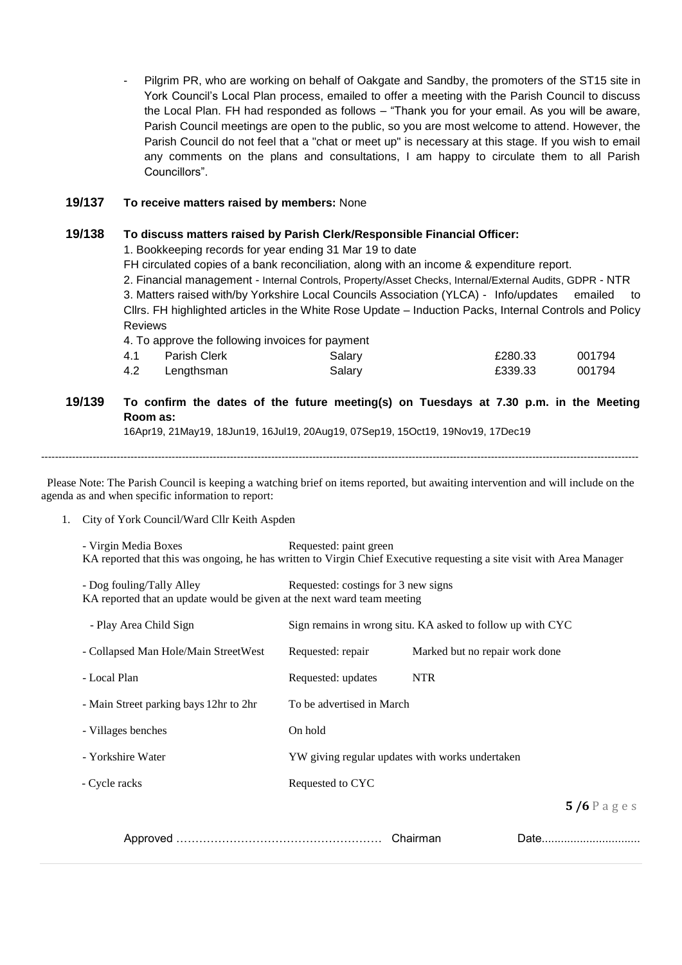- Pilgrim PR, who are working on behalf of Oakgate and Sandby, the promoters of the ST15 site in York Council's Local Plan process, emailed to offer a meeting with the Parish Council to discuss the Local Plan. FH had responded as follows – "Thank you for your email. As you will be aware, Parish Council meetings are open to the public, so you are most welcome to attend. However, the Parish Council do not feel that a "chat or meet up" is necessary at this stage. If you wish to email any comments on the plans and consultations, I am happy to circulate them to all Parish Councillors".

#### **19/137 To receive matters raised by members:** None

### **19/138 To discuss matters raised by Parish Clerk/Responsible Financial Officer:**

1. Bookkeeping records for year ending 31 Mar 19 to date

FH circulated copies of a bank reconciliation, along with an income & expenditure report.

2. Financial management - Internal Controls, Property/Asset Checks, Internal/External Audits, GDPR - NTR 3. Matters raised with/by Yorkshire Local Councils Association (YLCA) - Info/updates emailed to Cllrs. FH highlighted articles in the White Rose Update – Induction Packs, Internal Controls and Policy Reviews

|      |              | 4. To approve the following invoices for payment |         |        |
|------|--------------|--------------------------------------------------|---------|--------|
| 4.1  | Parish Clerk | Salary                                           | £280.33 | 001794 |
| -4.2 | Lengthsman   | Salary                                           | £339.33 | 001794 |

# **19/139 To confirm the dates of the future meeting(s) on Tuesdays at 7.30 p.m. in the Meeting Room as:**

16Apr19, 21May19, 18Jun19, 16Jul19, 20Aug19, 07Sep19, 15Oct19, 19Nov19, 17Dec19

------------------------------------------------------------------------------------------------------------------------------------------------------------------------------

Please Note: The Parish Council is keeping a watching brief on items reported, but awaiting intervention and will include on the agenda as and when specific information to report:

1. City of York Council/Ward Cllr Keith Aspden

| - Virgin Media Boxes                                                                                                  | Requested: paint green                                     |                                |                 |
|-----------------------------------------------------------------------------------------------------------------------|------------------------------------------------------------|--------------------------------|-----------------|
| KA reported that this was ongoing, he has written to Virgin Chief Executive requesting a site visit with Area Manager |                                                            |                                |                 |
| - Dog fouling/Tally Alley<br>KA reported that an update would be given at the next ward team meeting                  | Requested: costings for 3 new signs                        |                                |                 |
| - Play Area Child Sign                                                                                                | Sign remains in wrong situ. KA asked to follow up with CYC |                                |                 |
| - Collapsed Man Hole/Main StreetWest                                                                                  | Requested: repair                                          | Marked but no repair work done |                 |
| - Local Plan                                                                                                          | Requested: updates                                         | <b>NTR</b>                     |                 |
| - Main Street parking bays 12hr to 2hr                                                                                | To be advertised in March                                  |                                |                 |
| - Villages benches                                                                                                    | On hold                                                    |                                |                 |
| - Yorkshire Water                                                                                                     | YW giving regular updates with works undertaken            |                                |                 |
| - Cycle racks                                                                                                         | Requested to CYC                                           |                                |                 |
|                                                                                                                       |                                                            |                                | $5/6$ P a g e s |
|                                                                                                                       |                                                            | Chairman                       | Date            |